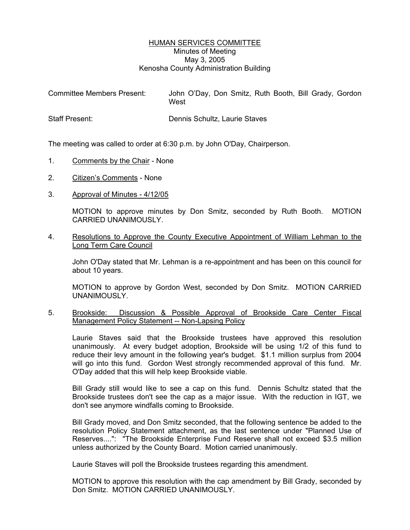## HUMAN SERVICES COMMITTEE Minutes of Meeting May 3, 2005 Kenosha County Administration Building

| <b>Committee Members Present:</b> | John O'Day, Don Smitz, Ruth Booth, Bill Grady, Gordon<br>West |
|-----------------------------------|---------------------------------------------------------------|
| <b>Staff Present:</b>             | Dennis Schultz, Laurie Staves                                 |

The meeting was called to order at 6:30 p.m. by John O'Day, Chairperson.

- 1. Comments by the Chair None
- 2. Citizen's Comments None
- 3. Approval of Minutes 4/12/05

MOTION to approve minutes by Don Smitz, seconded by Ruth Booth. MOTION CARRIED UNANIMOUSLY.

4. Resolutions to Approve the County Executive Appointment of William Lehman to the Long Term Care Council

John O'Day stated that Mr. Lehman is a re-appointment and has been on this council for about 10 years.

MOTION to approve by Gordon West, seconded by Don Smitz. MOTION CARRIED UNANIMOUSLY.

5. Brookside: Discussion & Possible Approval of Brookside Care Center Fiscal Management Policy Statement -- Non-Lapsing Policy

Laurie Staves said that the Brookside trustees have approved this resolution unanimously. At every budget adoption, Brookside will be using 1/2 of this fund to reduce their levy amount in the following year's budget. \$1.1 million surplus from 2004 will go into this fund. Gordon West strongly recommended approval of this fund. Mr. O'Day added that this will help keep Brookside viable.

Bill Grady still would like to see a cap on this fund. Dennis Schultz stated that the Brookside trustees don't see the cap as a major issue. With the reduction in IGT, we don't see anymore windfalls coming to Brookside.

Bill Grady moved, and Don Smitz seconded, that the following sentence be added to the resolution Policy Statement attachment, as the last sentence under "Planned Use of Reserves....": "The Brookside Enterprise Fund Reserve shall not exceed \$3.5 million unless authorized by the County Board. Motion carried unanimously.

Laurie Staves will poll the Brookside trustees regarding this amendment.

MOTION to approve this resolution with the cap amendment by Bill Grady, seconded by Don Smitz. MOTION CARRIED UNANIMOUSLY.